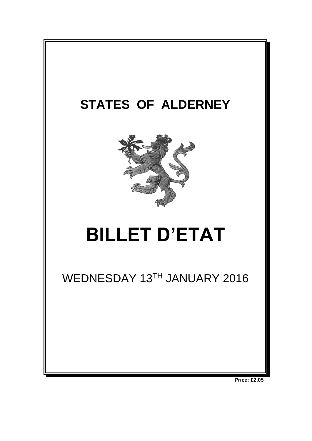

**Price: £2.05**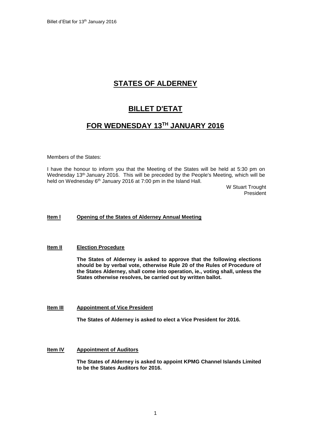# **STATES OF ALDERNEY**

# **BILLET D'ETAT**

# **FOR WEDNESDAY 13 TH JANUARY 2016**

Members of the States:

I have the honour to inform you that the Meeting of the States will be held at 5:30 pm on Wednesday 13<sup>th</sup> January 2016. This will be preceded by the People's Meeting, which will be held on Wednesday 6<sup>th</sup> January 2016 at 7:00 pm in the Island Hall.

> W Stuart Trought President

# **Item l Opening of the States of Alderney Annual Meeting**

# **Item II Election Procedure**

**The States of Alderney is asked to approve that the following elections should be by verbal vote, otherwise Rule 20 of the Rules of Procedure of the States Alderney, shall come into operation, ie., voting shall, unless the States otherwise resolves, be carried out by written ballot.**

# **Item III Appointment of Vice President**

**The States of Alderney is asked to elect a Vice President for 2016.** 

# **Item IV Appointment of Auditors**

**The States of Alderney is asked to appoint KPMG Channel Islands Limited to be the States Auditors for 2016.**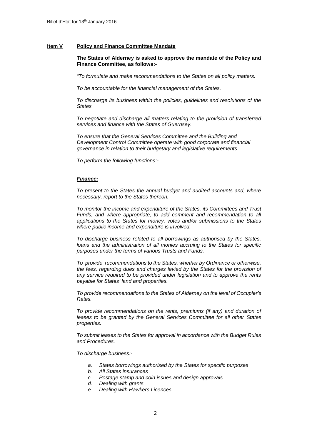## **Item V Policy and Finance Committee Mandate**

## **The States of Alderney is asked to approve the mandate of the Policy and Finance Committee, as follows:-**

*"To formulate and make recommendations to the States on all policy matters.*

*To be accountable for the financial management of the States.*

*To discharge its business within the policies, guidelines and resolutions of the States.*

*To negotiate and discharge all matters relating to the provision of transferred services and finance with the States of Guernsey.*

*To ensure that the General Services Committee and the Building and Development Control Committee operate with good corporate and financial governance in relation to their budgetary and legislative requirements.*

*To perform the following functions:-*

#### *Finance:*

*To present to the States the annual budget and audited accounts and, where necessary, report to the States thereon.*

*To monitor the income and expenditure of the States, its Committees and Trust*  Funds, and where appropriate, to add comment and recommendation to all *applications to the States for money, votes and/or submissions to the States where public income and expenditure is involved.*

*To discharge business related to all borrowings as authorised by the States, loans and the administration of all monies accruing to the States for specific purposes under the terms of various Trusts and Funds.*

*To provide recommendations to the States, whether by Ordinance or otherwise, the fees, regarding dues and charges levied by the States for the provision of any service required to be provided under legislation and to approve the rents payable for States' land and properties.* 

*To provide recommendations to the States of Alderney on the level of Occupier's Rates.*

*To provide recommendations on the rents, premiums (if any) and duration of leases to be granted by the General Services Committee for all other States properties.*

*To submit leases to the States for approval in accordance with the Budget Rules and Procedures.*

*To discharge business:-*

- *a. States borrowings authorised by the States for specific purposes*
- *b. All States insurances*
- *c. Postage stamp and coin issues and design approvals*
- *d. Dealing with grants*
- *e. Dealing with Hawkers Licences.*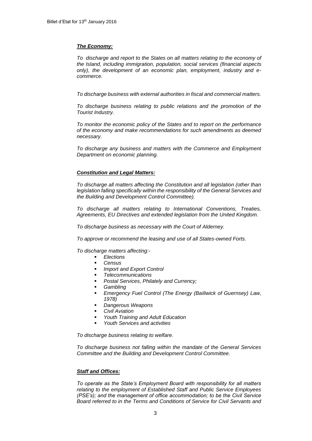## *The Economy:*

*To discharge and report to the States on all matters relating to the economy of the Island, including immigration, population, social services (financial aspects only), the development of an economic plan, employment, industry and ecommerce.*

*To discharge business with external authorities in fiscal and commercial matters.* 

*To discharge business relating to public relations and the promotion of the Tourist Industry.*

*To monitor the economic policy of the States and to report on the performance of the economy and make recommendations for such amendments as deemed necessary.*

*To discharge any business and matters with the Commerce and Employment Department on economic planning.*

# *Constitution and Legal Matters:*

*To discharge all matters affecting the Constitution and all legislation (other than legislation falling specifically within the responsibility of the General Services and the Building and Development Control Committee).* 

*To discharge all matters relating to International Conventions, Treaties, Agreements, EU Directives and extended legislation from the United Kingdom.*

*To discharge business as necessary with the Court of Alderney.*

*To approve or recommend the leasing and use of all States-owned Forts.*

*To discharge matters affecting:-*

- *Elections*
- *Census*
- *Import and Export Control*
- *Telecommunications*
- *Postal Services, Philately and Currency;*
- *Gambling*
- *Emergency Fuel Control (The Energy (Bailiwick of Guernsey) Law, 1978)*
- *Dangerous Weapons*
- *Civil Aviation*
- *Youth Training and Adult Education*
- *Youth Services and activities*

*To discharge business relating to welfare.*

*To discharge business not falling within the mandate of the General Services Committee and the Building and Development Control Committee.*

# *Staff and Offices:*

*To operate as the State's Employment Board with responsibility for all matters relating to the employment of Established Staff and Public Service Employees (PSE's); and the management of office accommodation; to be the Civil Service Board referred to in the Terms and Conditions of Service for Civil Servants and*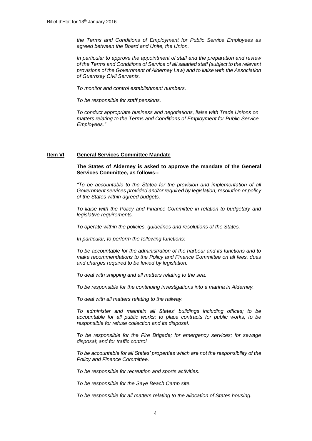*the Terms and Conditions of Employment for Public Service Employees as agreed between the Board and Unite, the Union.* 

*In particular to approve the appointment of staff and the preparation and review of the Terms and Conditions of Service of all salaried staff (subject to the relevant provisions of the Government of Alderney Law) and to liaise with the Association of Guernsey Civil Servants.*

*To monitor and control establishment numbers.*

*To be responsible for staff pensions.*

*To conduct appropriate business and negotiations, liaise with Trade Unions on matters relating to the Terms and Conditions of Employment for Public Service Employees."*

# **Item VI General Services Committee Mandate**

**The States of Alderney is asked to approve the mandate of the General Services Committee, as follows:-**

*"To be accountable to the States for the provision and implementation of all Government services provided and/or required by legislation, resolution or policy of the States within agreed budgets.*

*To liaise with the Policy and Finance Committee in relation to budgetary and legislative requirements.*

*To operate within the policies, guidelines and resolutions of the States.*

*In particular, to perform the following functions:-*

*To be accountable for the administration of the harbour and its functions and to make recommendations to the Policy and Finance Committee on all fees, dues and charges required to be levied by legislation.*

*To deal with shipping and all matters relating to the sea.*

*To be responsible for the continuing investigations into a marina in Alderney.*

*To deal with all matters relating to the railway.*

*To administer and maintain all States' buildings including offices; to be accountable for all public works; to place contracts for public works; to be responsible for refuse collection and its disposal.*

*To be responsible for the Fire Brigade; for emergency services; for sewage disposal; and for traffic control.*

*To be accountable for all States' properties which are not the responsibility of the Policy and Finance Committee.* 

*To be responsible for recreation and sports activities.* 

*To be responsible for the Saye Beach Camp site.*

*To be responsible for all matters relating to the allocation of States housing.*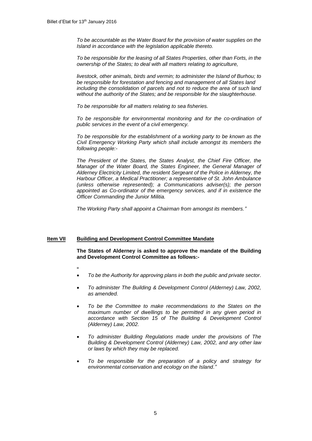*To be accountable as the Water Board for the provision of water supplies on the Island in accordance with the legislation applicable thereto.*

*To be responsible for the leasing of all States Properties, other than Forts, in the ownership of the States; to deal with all matters relating to agriculture,* 

*livestock, other animals, birds and vermin; to administer the Island of Burhou; to be responsible for forestation and fencing and management of all States land including the consolidation of parcels and not to reduce the area of such land without the authority of the States; and be responsible for the slaughterhouse.*

*To be responsible for all matters relating to sea fisheries.*

*To be responsible for environmental monitoring and for the co-ordination of public services in the event of a civil emergency.* 

*To be responsible for the establishment of a working party to be known as the Civil Emergency Working Party which shall include amongst its members the following people:-*

*The President of the States, the States Analyst, the Chief Fire Officer, the Manager of the Water Board, the States Engineer, the General Manager of Alderney Electricity Limited, the resident Sergeant of the Police in Alderney, the Harbour Officer, a Medical Practitioner; a representative of St. John Ambulance (unless otherwise represented); a Communications adviser(s); the person appointed as Co-ordinator of the emergency services, and if in existence the Officer Commanding the Junior Militia.*

*The Working Party shall appoint a Chairman from amongst its members."*

# **Item VII Building and Development Control Committee Mandate**

**The States of Alderney is asked to approve the mandate of the Building and Development Control Committee as follows:-**

- **"**
- *To be the Authority for approving plans in both the public and private sector.*
- *To administer The Building & Development Control (Alderney) Law, 2002, as amended.*
- *To be the Committee to make recommendations to the States on the maximum number of dwellings to be permitted in any given period in accordance with Section 15 of The Building & Development Control (Alderney) Law, 2002.*
- *To administer Building Regulations made under the provisions of The Building & Development Control (Alderney) Law, 2002, and any other law or laws by which they may be replaced.*
- *To be responsible for the preparation of a policy and strategy for environmental conservation and ecology on the Island."*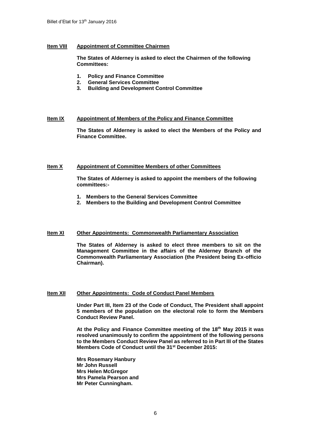# **Item VIII Appointment of Committee Chairmen**

**The States of Alderney is asked to elect the Chairmen of the following Committees:**

- **1. Policy and Finance Committee**
- **2. General Services Committee**
- **3. Building and Development Control Committee**

#### **Item IX Appointment of Members of the Policy and Finance Committee**

**The States of Alderney is asked to elect the Members of the Policy and Finance Committee.**

## **Item X Appointment of Committee Members of other Committees**

**The States of Alderney is asked to appoint the members of the following committees:-**

- **1. Members to the General Services Committee**
- **2. Members to the Building and Development Control Committee**

# **Item XI Other Appointments: Commonwealth Parliamentary Association**

**The States of Alderney is asked to elect three members to sit on the Management Committee in the affairs of the Alderney Branch of the Commonwealth Parliamentary Association (the President being Ex-officio Chairman).**

# **Item XII Other Appointments: Code of Conduct Panel Members**

**Under Part III, Item 23 of the Code of Conduct, The President shall appoint 5 members of the population on the electoral role to form the Members Conduct Review Panel.** 

**At the Policy and Finance Committee meeting of the 18th May 2015 it was resolved unanimously to confirm the appointment of the following persons to the Members Conduct Review Panel as referred to in Part III of the States Members Code of Conduct until the 31st December 2015:**

**Mrs Rosemary Hanbury Mr John Russell Mrs Helen McGregor Mrs Pamela Pearson and Mr Peter Cunningham.**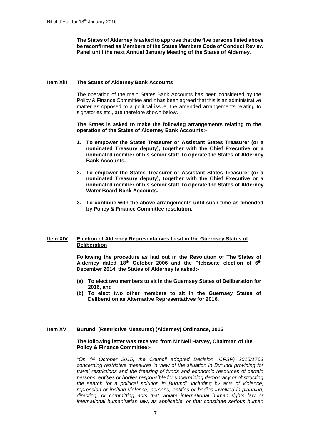**The States of Alderney is asked to approve that the five persons listed above be reconfirmed as Members of the States Members Code of Conduct Review Panel until the next Annual January Meeting of the States of Alderney.**

## **Item XlII The States of Alderney Bank Accounts**

The operation of the main States Bank Accounts has been considered by the Policy & Finance Committee and it has been agreed that this is an administrative matter as opposed to a political issue, the amended arrangements relating to signatories etc., are therefore shown below.

**The States is asked to make the following arrangements relating to the operation of the States of Alderney Bank Accounts:-**

- **1. To empower the States Treasurer or Assistant States Treasurer (or a nominated Treasury deputy), together with the Chief Executive or a nominated member of his senior staff, to operate the States of Alderney Bank Accounts.**
- **2. To empower the States Treasurer or Assistant States Treasurer (or a nominated Treasury deputy), together with the Chief Executive or a nominated member of his senior staff, to operate the States of Alderney Water Board Bank Accounts.**
- **3. To continue with the above arrangements until such time as amended by Policy & Finance Committee resolution.**

## **Item XIV Election of Alderney Representatives to sit in the Guernsey States of Deliberation**

**Following the procedure as laid out in the Resolution of The States of Alderney dated 18th October 2006 and the Plebiscite election of 6 th December 2014, the States of Alderney is asked:-**

- **(a) To elect two members to sit in the Guernsey States of Deliberation for 2016, and**
- **(b) To elect two other members to sit in the Guernsey States of Deliberation as Alternative Representatives for 2016.**

### **Item XV Burundi (Restrictive Measures) (Alderney) Ordinance, 2015**

### **The following letter was received from Mr Neil Harvey, Chairman of the Policy & Finance Committee:-**

*"On 1st October 2015, the Council adopted Decision (CFSP) 2015/1763 concerning restrictive measures in view of the situation in Burundi providing for travel restrictions and the freezing of funds and economic resources of certain persons, entities or bodies responsible for undermining democracy or obstructing the search for a political solution in Burundi, including by acts of violence, repression or inciting violence, persons, entities or bodies involved in planning, directing, or committing acts that violate international human rights law or international humanitarian law, as applicable, or that constitute serious human*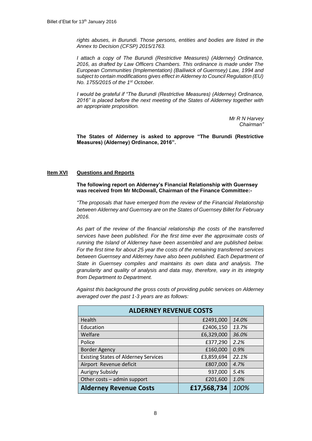*rights abuses, in Burundi. Those persons, entities and bodies are listed in the Annex to Decision (CFSP) 2015/1763.*

*I attach a copy of The Burundi (Restrictive Measures) (Alderney) Ordinance, 2016, as drafted by Law Officers Chambers. This ordinance is made under The European Communities (Implementation) (Bailiwick of Guernsey) Law, 1994 and subject to certain modifications gives effect in Alderney to Council Regulation (EU) No. 1755/2015 of the 1st October.* 

*I would be grateful if "The Burundi (Restrictive Measures) (Alderney) Ordinance, 2016" is placed before the next meeting of the States of Alderney together with an appropriate proposition.*

> *Mr R N Harvey Chairman"*

**The States of Alderney is asked to approve "The Burundi (Restrictive Measures) (Alderney) Ordinance, 2016".**

# **Item XVI Questions and Reports**

**The following report on Alderney's Financial Relationship with Guernsey was received from Mr McDowall, Chairman of the Finance Committee:-**

*"The proposals that have emerged from the review of the Financial Relationship between Alderney and Guernsey are on the States of Guernsey Billet for February 2016.*

*As part of the review of the financial relationship the costs of the transferred services have been published. For the first time ever the approximate costs of running the Island of Alderney have been assembled and are published below. For the first time for about 25 year the costs of the remaining transferred services between Guernsey and Alderney have also been published. Each Department of State in Guernsey compiles and maintains its own data and analysis. The granularity and quality of analysis and data may, therefore, vary in its integrity from Department to Department.*

*Against this background the gross costs of providing public services on Alderney averaged over the past 1-3 years are as follows:*

| <b>ALDERNEY REVENUE COSTS</b>               |             |       |  |  |  |
|---------------------------------------------|-------------|-------|--|--|--|
| Health                                      | £2491,000   | 14.0% |  |  |  |
| Education                                   | £2406,150   | 13.7% |  |  |  |
| Welfare                                     | £6,329,000  | 36.0% |  |  |  |
| Police                                      | £377,290    | 2.2%  |  |  |  |
| <b>Border Agency</b>                        | £160,000    | 0.9%  |  |  |  |
| <b>Existing States of Alderney Services</b> | £3,859,694  | 22.1% |  |  |  |
| Airport Revenue deficit                     | £807,000    | 4.7%  |  |  |  |
| <b>Aurigny Subsidy</b>                      | 937,000     | 5.4%  |  |  |  |
| Other costs - admin support                 | £201,600    | 1.0%  |  |  |  |
| <b>Alderney Revenue Costs</b>               | £17,568,734 | 100%  |  |  |  |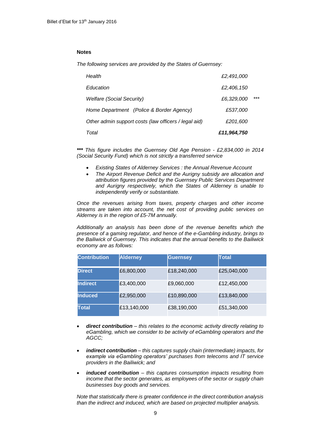## **Notes**

*The following services are provided by the States of Guernsey:*

| Total                                                | £11,964,750 |       |
|------------------------------------------------------|-------------|-------|
| Other admin support costs (law officers / legal aid) | £201,600    |       |
| Home Department (Police & Border Agency)             | £537,000    |       |
| <b>Welfare (Social Security)</b>                     | £6,329,000  | $***$ |
| Education                                            | £2,406,150  |       |
| Health                                               | £2,491,000  |       |

*\*\*\* This figure includes the Guernsey Old Age Pension - £2,834,000 in 2014 (Social Security Fund) which is not strictly a transferred service*

- *Existing States of Alderney Services : the Annual Revenue Account*
- *The Airport Revenue Deficit and the Aurigny subsidy are allocation and attribution figures provided by the Guernsey Public Services Department and Aurigny respectively, which the States of Alderney is unable to independently verify or substantiate.*

*Once the revenues arising from taxes, property charges and other income streams are taken into account, the net cost of providing public services on Alderney is in the region of £5-7M annually.*

*Additionally an analysis has been done of the revenue benefits which the presence of a gaming regulator, and hence of the e-Gambling industry, brings to the Bailiwick of Guernsey. This indicates that the annual benefits to the Bailiwick economy are as follows:*

| <b>Contribution</b> | <b>Alderney</b> | <b>Guernsey</b> | Total       |
|---------------------|-----------------|-----------------|-------------|
| <b>Direct</b>       | £6,800,000      | £18,240,000     | £25,040,000 |
| <b>Indirect</b>     | £3,400,000      | £9,060,000      | £12,450,000 |
| <b>Induced</b>      | £2,950,000      | £10,890,000     | £13,840,000 |
| <b>Total</b>        | £13,140,000     | £38,190,000     | £51,340,000 |

- *direct contribution – this relates to the economic activity directly relating to eGambling, which we consider to be activity of eGambling operators and the AGCC;*
- *indirect contribution – this captures supply chain (intermediate) impacts, for example via eGambling operators' purchases from telecoms and IT service providers in the Bailiwick; and*
- *induced contribution – this captures consumption impacts resulting from income that the sector generates, as employees of the sector or supply chain businesses buy goods and services.*

*Note that statistically there is greater confidence in the direct contribution analysis than the indirect and induced, which are based on projected multiplier analysis.*